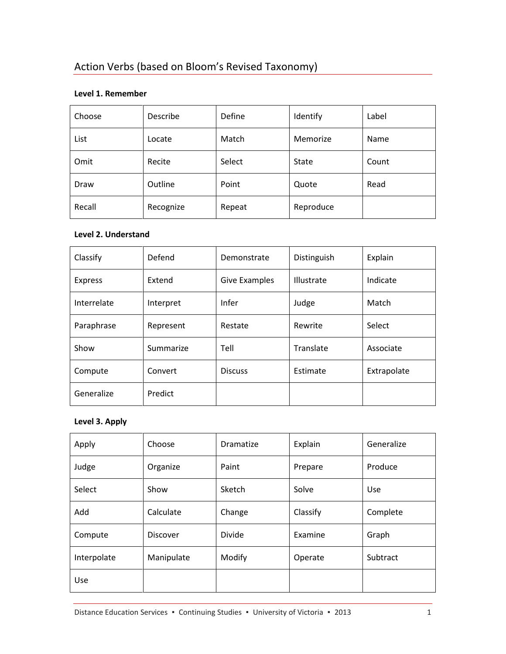# Action Verbs (based on Bloom's Revised Taxonomy)

### **Level 1. Remember**

| Choose | Describe  | Define | Identify     | Label |
|--------|-----------|--------|--------------|-------|
| List   | Locate    | Match  | Memorize     | Name  |
| Omit   | Recite    | Select | <b>State</b> | Count |
| Draw   | Outline   | Point  | Quote        | Read  |
| Recall | Recognize | Repeat | Reproduce    |       |

#### **Level 2. Understand**

| Classify       | Defend    | Demonstrate          | Distinguish | Explain     |
|----------------|-----------|----------------------|-------------|-------------|
| <b>Express</b> | Extend    | <b>Give Examples</b> | Illustrate  | Indicate    |
| Interrelate    | Interpret | Infer                | Judge       | Match       |
| Paraphrase     | Represent | Restate              | Rewrite     | Select      |
| Show           | Summarize | Tell                 | Translate   | Associate   |
| Compute        | Convert   | <b>Discuss</b>       | Estimate    | Extrapolate |
| Generalize     | Predict   |                      |             |             |

## **Level 3. Apply**

| Apply       | Choose          | <b>Dramatize</b> | Explain  | Generalize |
|-------------|-----------------|------------------|----------|------------|
| Judge       | Organize        | Paint            | Prepare  | Produce    |
| Select      | Show            | Sketch           | Solve    | <b>Use</b> |
| Add         | Calculate       | Change           | Classify | Complete   |
| Compute     | <b>Discover</b> | Divide           | Examine  | Graph      |
| Interpolate | Manipulate      | Modify           | Operate  | Subtract   |
| Use         |                 |                  |          |            |